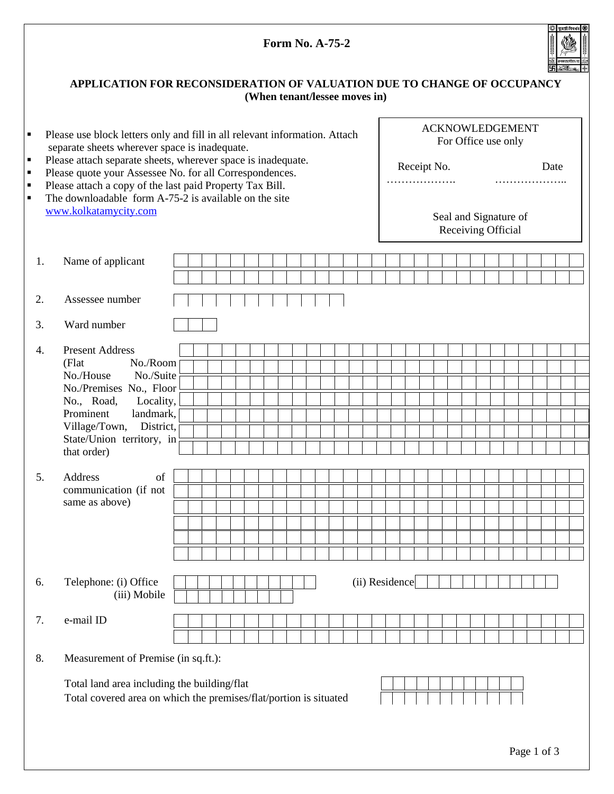|                                                                                                                                                      |                                                                                                                                                                                                                                                        |  |  |  |  |  |                               |                                                       | <b>Form No. A-75-2</b>                                       |  |  |  |                |  |  |      |  |  |  |  |  |             |  |
|------------------------------------------------------------------------------------------------------------------------------------------------------|--------------------------------------------------------------------------------------------------------------------------------------------------------------------------------------------------------------------------------------------------------|--|--|--|--|--|-------------------------------|-------------------------------------------------------|--------------------------------------------------------------|--|--|--|----------------|--|--|------|--|--|--|--|--|-------------|--|
| ٠<br>٠<br>٠                                                                                                                                          | APPLICATION FOR RECONSIDERATION OF VALUATION DUE TO CHANGE OF OCCUPANCY                                                                                                                                                                                |  |  |  |  |  | (When tenant/lessee moves in) |                                                       |                                                              |  |  |  |                |  |  |      |  |  |  |  |  |             |  |
|                                                                                                                                                      | Please use block letters only and fill in all relevant information. Attach<br>separate sheets wherever space is inadequate.<br>Please attach separate sheets, wherever space is inadequate.<br>Please quote your Assessee No. for all Correspondences. |  |  |  |  |  |                               |                                                       | <b>ACKNOWLEDGEMENT</b><br>For Office use only<br>Receipt No. |  |  |  |                |  |  | Date |  |  |  |  |  |             |  |
| Please attach a copy of the last paid Property Tax Bill.<br>٠<br>The downloadable form A-75-2 is available on the site<br>Ξ<br>www.kolkatamycity.com |                                                                                                                                                                                                                                                        |  |  |  |  |  |                               | .<br>.<br>Seal and Signature of<br>Receiving Official |                                                              |  |  |  |                |  |  |      |  |  |  |  |  |             |  |
| 1.<br>Name of applicant                                                                                                                              |                                                                                                                                                                                                                                                        |  |  |  |  |  |                               |                                                       |                                                              |  |  |  |                |  |  |      |  |  |  |  |  |             |  |
|                                                                                                                                                      |                                                                                                                                                                                                                                                        |  |  |  |  |  |                               |                                                       |                                                              |  |  |  |                |  |  |      |  |  |  |  |  |             |  |
| Assessee number<br>2.                                                                                                                                |                                                                                                                                                                                                                                                        |  |  |  |  |  |                               |                                                       |                                                              |  |  |  |                |  |  |      |  |  |  |  |  |             |  |
| Ward number<br>3.                                                                                                                                    |                                                                                                                                                                                                                                                        |  |  |  |  |  |                               |                                                       |                                                              |  |  |  |                |  |  |      |  |  |  |  |  |             |  |
| <b>Present Address</b><br>4.<br>(Flat<br>No./House<br>Prominent<br>that order)<br>5.<br>Address                                                      | No./Room<br>No./Suite<br>No./Premises No., Floor<br>No., Road, Locality,<br>landmark,<br>Village/Town, District,<br>State/Union territory, in<br>of                                                                                                    |  |  |  |  |  |                               |                                                       |                                                              |  |  |  |                |  |  |      |  |  |  |  |  |             |  |
| communication (if not<br>same as above)                                                                                                              |                                                                                                                                                                                                                                                        |  |  |  |  |  |                               |                                                       |                                                              |  |  |  |                |  |  |      |  |  |  |  |  |             |  |
| Telephone: (i) Office<br>6.                                                                                                                          | (iii) Mobile                                                                                                                                                                                                                                           |  |  |  |  |  |                               |                                                       |                                                              |  |  |  | (ii) Residence |  |  |      |  |  |  |  |  |             |  |
| e-mail ID<br>7.                                                                                                                                      |                                                                                                                                                                                                                                                        |  |  |  |  |  |                               |                                                       |                                                              |  |  |  |                |  |  |      |  |  |  |  |  |             |  |
| 8.                                                                                                                                                   | Measurement of Premise (in sq.ft.):                                                                                                                                                                                                                    |  |  |  |  |  |                               |                                                       |                                                              |  |  |  |                |  |  |      |  |  |  |  |  |             |  |
|                                                                                                                                                      | Total land area including the building/flat<br>Total covered area on which the premises/flat/portion is situated                                                                                                                                       |  |  |  |  |  |                               |                                                       |                                                              |  |  |  |                |  |  |      |  |  |  |  |  | Page 1 of 3 |  |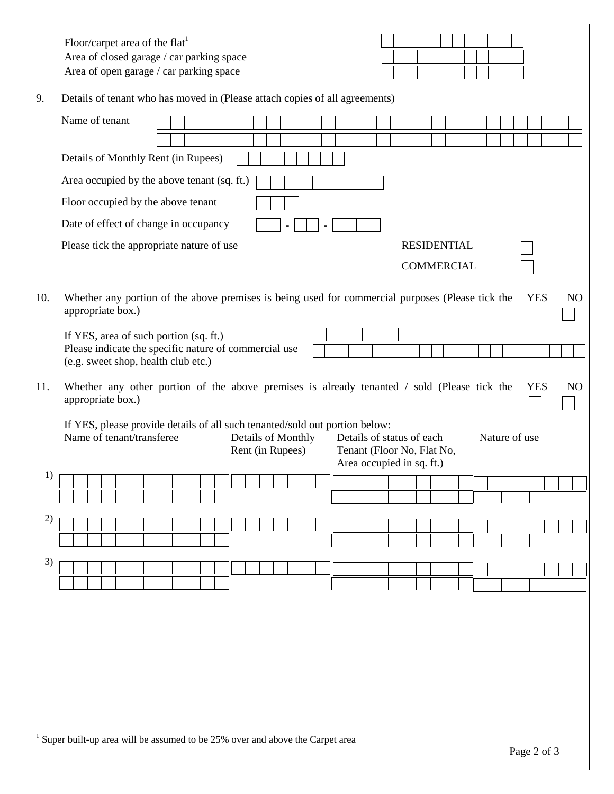|     | Floor/carpet area of the flat <sup>1</sup><br>Area of closed garage / car parking space<br>Area of open garage / car parking space                                                                                                                          |
|-----|-------------------------------------------------------------------------------------------------------------------------------------------------------------------------------------------------------------------------------------------------------------|
| 9.  | Details of tenant who has moved in (Please attach copies of all agreements)                                                                                                                                                                                 |
|     | Name of tenant                                                                                                                                                                                                                                              |
|     | Details of Monthly Rent (in Rupees)                                                                                                                                                                                                                         |
|     | Area occupied by the above tenant (sq. ft.)                                                                                                                                                                                                                 |
|     | Floor occupied by the above tenant                                                                                                                                                                                                                          |
|     | Date of effect of change in occupancy                                                                                                                                                                                                                       |
|     | <b>RESIDENTIAL</b><br>Please tick the appropriate nature of use                                                                                                                                                                                             |
|     | <b>COMMERCIAL</b>                                                                                                                                                                                                                                           |
| 10. | Whether any portion of the above premises is being used for commercial purposes (Please tick the<br><b>YES</b><br>N <sub>O</sub><br>appropriate box.)                                                                                                       |
|     | If YES, area of such portion (sq. ft.)<br>Please indicate the specific nature of commercial use<br>(e.g. sweet shop, health club etc.)                                                                                                                      |
| 11. | Whether any other portion of the above premises is already tenanted / sold (Please tick the<br><b>YES</b><br>NO<br>appropriate box.)                                                                                                                        |
|     | If YES, please provide details of all such tenanted/sold out portion below:<br>Name of tenant/transferee<br>Details of Monthly<br>Details of status of each<br>Nature of use<br>Rent (in Rupees)<br>Tenant (Floor No, Flat No,<br>Area occupied in sq. ft.) |
| 1)  |                                                                                                                                                                                                                                                             |
|     |                                                                                                                                                                                                                                                             |
| 2)  |                                                                                                                                                                                                                                                             |
|     |                                                                                                                                                                                                                                                             |
| 3)  |                                                                                                                                                                                                                                                             |
|     |                                                                                                                                                                                                                                                             |
|     |                                                                                                                                                                                                                                                             |
|     |                                                                                                                                                                                                                                                             |
|     |                                                                                                                                                                                                                                                             |
|     |                                                                                                                                                                                                                                                             |
|     |                                                                                                                                                                                                                                                             |
|     |                                                                                                                                                                                                                                                             |
|     | $1$ Super built-up area will be assumed to be 25% over and above the Carpet area                                                                                                                                                                            |